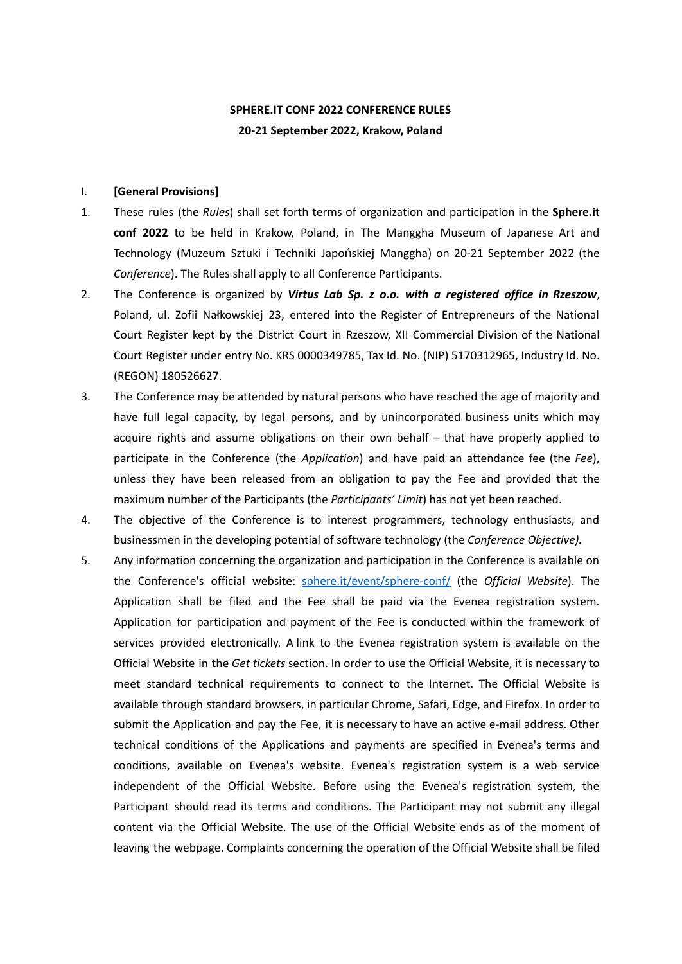# **SPHERE.IT CONF 2022 CONFERENCE RULES 20-21 September 2022, Krakow, Poland**

#### I. **[General Provisions]**

- 1. These rules (the *Rules*) shall set forth terms of organization and participation in the **Sphere.it conf 2022** to be held in Krakow, Poland, in The Manggha Museum of Japanese Art and Technology (Muzeum Sztuki i Techniki Japońskiej Manggha) on 20-21 September 2022 (the *Conference*). The Rules shall apply to all Conference Participants.
- 2. The Conference is organized by *Virtus Lab Sp. z o.o. with a registered office in Rzeszow*, Poland, ul. Zofii Nałkowskiej 23, entered into the Register of Entrepreneurs of the National Court Register kept by the District Court in Rzeszow, XII Commercial Division of the National Court Register under entry No. KRS 0000349785, Tax Id. No. (NIP) 5170312965, Industry Id. No. (REGON) 180526627.
- 3. The Conference may be attended by natural persons who have reached the age of majority and have full legal capacity, by legal persons, and by unincorporated business units which may acquire rights and assume obligations on their own behalf – that have properly applied to participate in the Conference (the *Application*) and have paid an attendance fee (the *Fee*), unless they have been released from an obligation to pay the Fee and provided that the maximum number of the Participants (the *Participants' Limit*) has not yet been reached.
- 4. The objective of the Conference is to interest programmers, technology enthusiasts, and businessmen in the developing potential of software technology (the *Conference Objective).*
- 5. Any information concerning the organization and participation in the Conference is available on the Conference's official website: [sphere.it/event/sphere-conf/](http://www.sphere.it/event/sphere-conf/) (the *Official Website*). The Application shall be filed and the Fee shall be paid via the Evenea registration system. Application for participation and payment of the Fee is conducted within the framework of services provided electronically. A link to the Evenea registration system is available on the Official Website in the *Get tickets* section. In order to use the Official Website, it is necessary to meet standard technical requirements to connect to the Internet. The Official Website is available through standard browsers, in particular Chrome, Safari, Edge, and Firefox. In order to submit the Application and pay the Fee, it is necessary to have an active e-mail address. Other technical conditions of the Applications and payments are specified in Evenea's terms and conditions, available on Evenea's website. Evenea's registration system is a web service independent of the Official Website. Before using the Evenea's registration system, the Participant should read its terms and conditions. The Participant may not submit any illegal content via the Official Website. The use of the Official Website ends as of the moment of leaving the webpage. Complaints concerning the operation of the Official Website shall be filed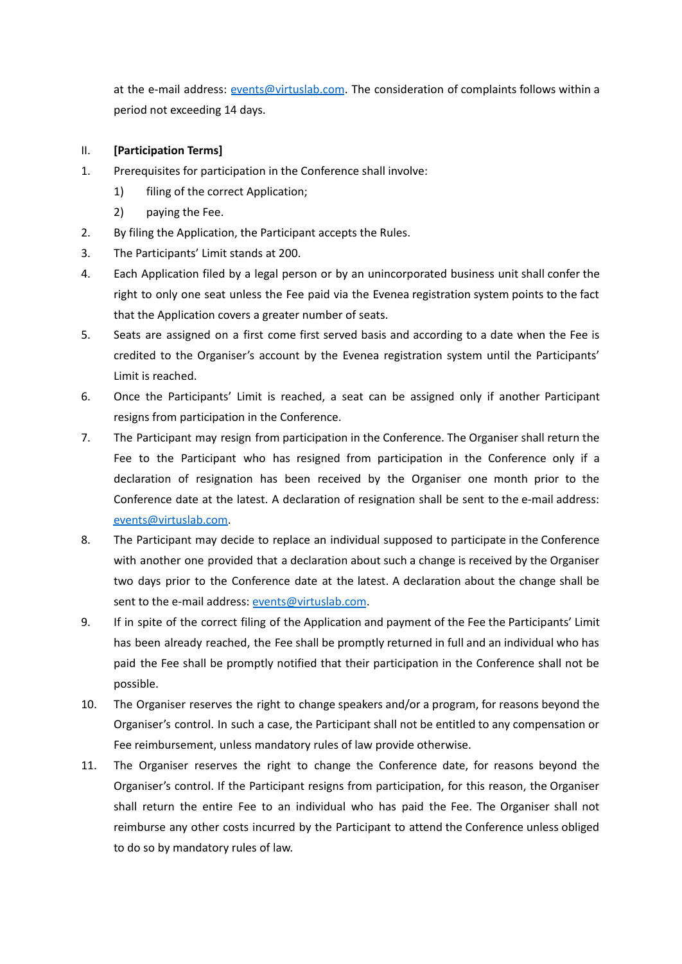at the e-mail address: [events@virtuslab.com](mailto:events@virtuslab.com). The consideration of complaints follows within a period not exceeding 14 days.

- II. **[Participation Terms]**
- 1. Prerequisites for participation in the Conference shall involve:
	- 1) filing of the correct Application;
	- 2) paying the Fee.
- 2. By filing the Application, the Participant accepts the Rules.
- 3. The Participants' Limit stands at 200.
- 4. Each Application filed by a legal person or by an unincorporated business unit shall confer the right to only one seat unless the Fee paid via the Evenea registration system points to the fact that the Application covers a greater number of seats.
- 5. Seats are assigned on a first come first served basis and according to a date when the Fee is credited to the Organiser's account by the Evenea registration system until the Participants' Limit is reached.
- 6. Once the Participants' Limit is reached, a seat can be assigned only if another Participant resigns from participation in the Conference.
- 7. The Participant may resign from participation in the Conference. The Organiser shall return the Fee to the Participant who has resigned from participation in the Conference only if a declaration of resignation has been received by the Organiser one month prior to the Conference date at the latest. A declaration of resignation shall be sent to the e-mail address: [events@virtuslab.com](mailto:events@virtuslab.com).
- 8. The Participant may decide to replace an individual supposed to participate in the Conference with another one provided that a declaration about such a change is received by the Organiser two days prior to the Conference date at the latest. A declaration about the change shall be sent to the e-mail address: [events@virtuslab.com](mailto:events@virtuslab.com).
- 9. If in spite of the correct filing of the Application and payment of the Fee the Participants' Limit has been already reached, the Fee shall be promptly returned in full and an individual who has paid the Fee shall be promptly notified that their participation in the Conference shall not be possible.
- 10. The Organiser reserves the right to change speakers and/or a program, for reasons beyond the Organiser's control. In such a case, the Participant shall not be entitled to any compensation or Fee reimbursement, unless mandatory rules of law provide otherwise.
- 11. The Organiser reserves the right to change the Conference date, for reasons beyond the Organiser's control. If the Participant resigns from participation, for this reason, the Organiser shall return the entire Fee to an individual who has paid the Fee. The Organiser shall not reimburse any other costs incurred by the Participant to attend the Conference unless obliged to do so by mandatory rules of law.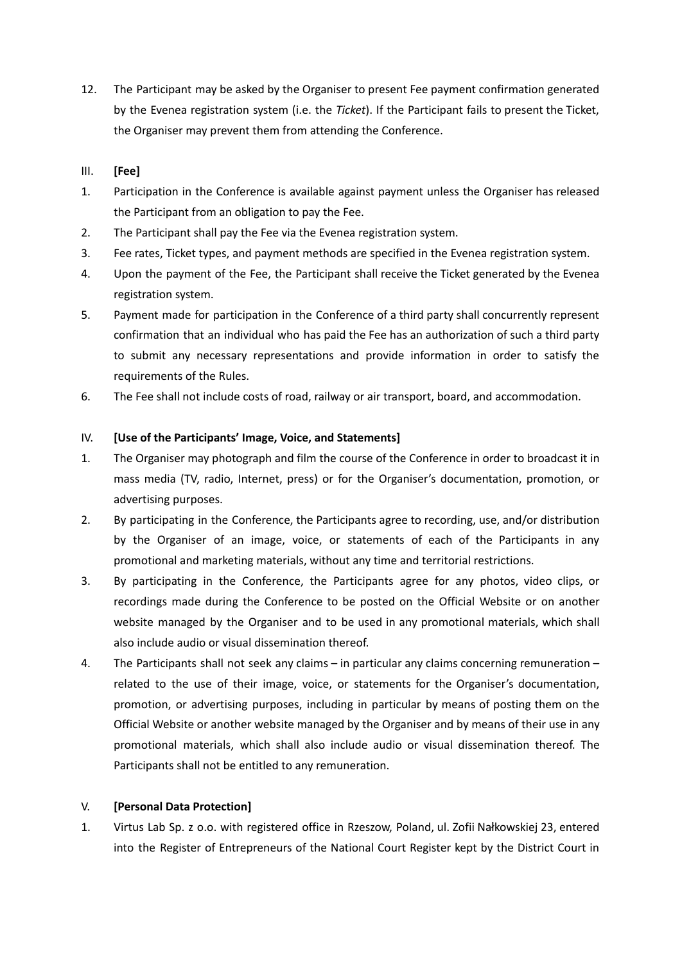12. The Participant may be asked by the Organiser to present Fee payment confirmation generated by the Evenea registration system (i.e. the *Ticket*). If the Participant fails to present the Ticket, the Organiser may prevent them from attending the Conference.

## III. **[Fee]**

- 1. Participation in the Conference is available against payment unless the Organiser has released the Participant from an obligation to pay the Fee.
- 2. The Participant shall pay the Fee via the Evenea registration system.
- 3. Fee rates, Ticket types, and payment methods are specified in the Evenea registration system.
- 4. Upon the payment of the Fee, the Participant shall receive the Ticket generated by the Evenea registration system.
- 5. Payment made for participation in the Conference of a third party shall concurrently represent confirmation that an individual who has paid the Fee has an authorization of such a third party to submit any necessary representations and provide information in order to satisfy the requirements of the Rules.
- 6. The Fee shall not include costs of road, railway or air transport, board, and accommodation.

### IV. **[Use of the Participants' Image, Voice, and Statements]**

- 1. The Organiser may photograph and film the course of the Conference in order to broadcast it in mass media (TV, radio, Internet, press) or for the Organiser's documentation, promotion, or advertising purposes.
- 2. By participating in the Conference, the Participants agree to recording, use, and/or distribution by the Organiser of an image, voice, or statements of each of the Participants in any promotional and marketing materials, without any time and territorial restrictions.
- 3. By participating in the Conference, the Participants agree for any photos, video clips, or recordings made during the Conference to be posted on the Official Website or on another website managed by the Organiser and to be used in any promotional materials, which shall also include audio or visual dissemination thereof.
- 4. The Participants shall not seek any claims in particular any claims concerning remuneration related to the use of their image, voice, or statements for the Organiser's documentation, promotion, or advertising purposes, including in particular by means of posting them on the Official Website or another website managed by the Organiser and by means of their use in any promotional materials, which shall also include audio or visual dissemination thereof. The Participants shall not be entitled to any remuneration.

### V. **[Personal Data Protection]**

1. Virtus Lab Sp. z o.o. with registered office in Rzeszow, Poland, ul. Zofii Nałkowskiej 23, entered into the Register of Entrepreneurs of the National Court Register kept by the District Court in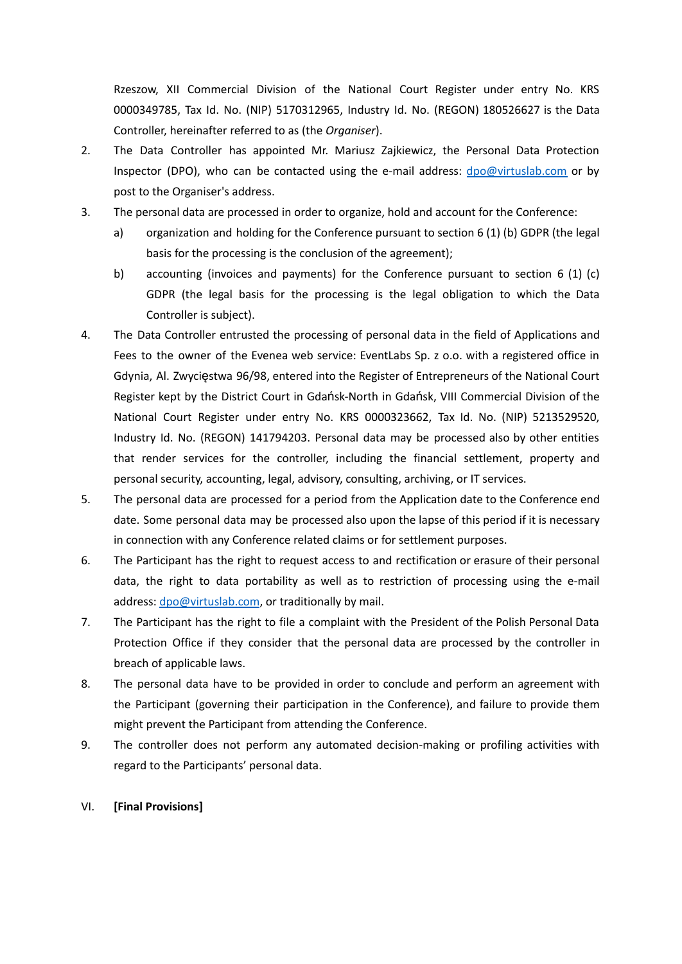Rzeszow, XII Commercial Division of the National Court Register under entry No. KRS 0000349785, Tax Id. No. (NIP) 5170312965, Industry Id. No. (REGON) 180526627 is the Data Controller, hereinafter referred to as (the *Organiser*).

- 2. The Data Controller has appointed Mr. Mariusz Zajkiewicz, the Personal Data Protection Inspector (DPO), who can be contacted using the e-mail address:  $dpo@virtuslab.com$  or by post to the Organiser's address.
- 3. The personal data are processed in order to organize, hold and account for the Conference:
	- a) organization and holding for the Conference pursuant to section 6 (1) (b) GDPR (the legal basis for the processing is the conclusion of the agreement);
	- b) accounting (invoices and payments) for the Conference pursuant to section 6 (1) (c) GDPR (the legal basis for the processing is the legal obligation to which the Data Controller is subject).
- 4. The Data Controller entrusted the processing of personal data in the field of Applications and Fees to the owner of the Evenea web service: EventLabs Sp. z o.o. with a registered office in Gdynia, Al. Zwycięstwa 96/98, entered into the Register of Entrepreneurs of the National Court Register kept by the District Court in Gdańsk-North in Gdańsk, VIII Commercial Division of the National Court Register under entry No. KRS 0000323662, Tax Id. No. (NIP) 5213529520, Industry Id. No. (REGON) 141794203. Personal data may be processed also by other entities that render services for the controller, including the financial settlement, property and personal security, accounting, legal, advisory, consulting, archiving, or IT services.
- 5. The personal data are processed for a period from the Application date to the Conference end date. Some personal data may be processed also upon the lapse of this period if it is necessary in connection with any Conference related claims or for settlement purposes.
- 6. The Participant has the right to request access to and rectification or erasure of their personal data, the right to data portability as well as to restriction of processing using the e-mail address: [dpo@virtuslab.com](mailto:dpo@virtuslab.com), or traditionally by mail.
- 7. The Participant has the right to file a complaint with the President of the Polish Personal Data Protection Office if they consider that the personal data are processed by the controller in breach of applicable laws.
- 8. The personal data have to be provided in order to conclude and perform an agreement with the Participant (governing their participation in the Conference), and failure to provide them might prevent the Participant from attending the Conference.
- 9. The controller does not perform any automated decision-making or profiling activities with regard to the Participants' personal data.

#### VI. **[Final Provisions]**